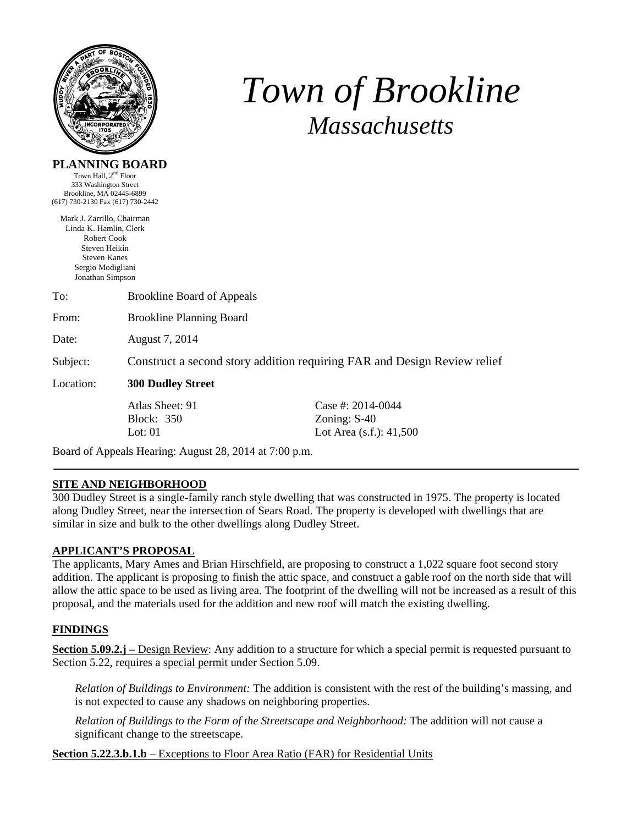

# *Town of Brookline Massachusetts*

## **PLANNING BOARD**

Town Hall,  $2<sup>nd</sup>$  Floor 333 Washington Street Brookline, MA 02445-6899 (617) 730-2130 Fax (617) 730-2442

Mark J. Zarrillo, Chairman Linda K. Hamlin, Clerk Robert Cook Steven Heikin Steven Kanes Sergio Modigliani Jonathan Simpson

To: Brookline Board of Appeals From: Brookline Planning Board Date: August 7, 2014 Subject: Construct a second story addition requiring FAR and Design Review relief

Location: **300 Dudley Street** 

Block: 350 Zoning: S-40

Atlas Sheet: 91 Case #: 2014-0044 Lot: 01 Lot Area (s.f.): 41,500

Board of Appeals Hearing: August 28, 2014 at 7:00 p.m.

## **SITE AND NEIGHBORHOOD**

300 Dudley Street is a single-family ranch style dwelling that was constructed in 1975. The property is located along Dudley Street, near the intersection of Sears Road. The property is developed with dwellings that are similar in size and bulk to the other dwellings along Dudley Street.

## **APPLICANT'S PROPOSAL**

The applicants, Mary Ames and Brian Hirschfield, are proposing to construct a 1,022 square foot second story addition. The applicant is proposing to finish the attic space, and construct a gable roof on the north side that will allow the attic space to be used as living area. The footprint of the dwelling will not be increased as a result of this proposal, and the materials used for the addition and new roof will match the existing dwelling.

## **FINDINGS**

**Section 5.09.2.j** – Design Review: Any addition to a structure for which a special permit is requested pursuant to Section 5.22, requires a special permit under Section 5.09.

*Relation of Buildings to Environment:* The addition is consistent with the rest of the building's massing, and is not expected to cause any shadows on neighboring properties.

*Relation of Buildings to the Form of the Streetscape and Neighborhood:* The addition will not cause a significant change to the streetscape.

**Section 5.22.3.b.1.b** – Exceptions to Floor Area Ratio (FAR) for Residential Units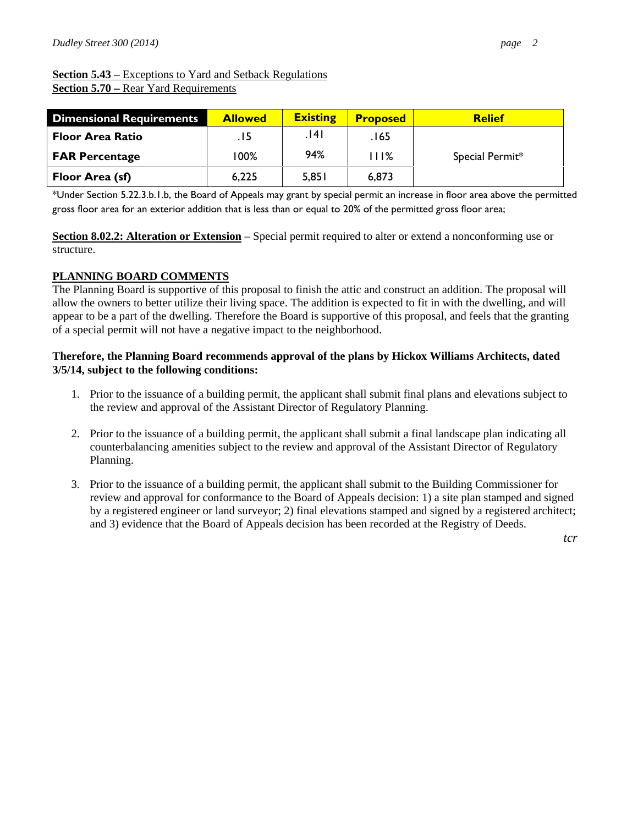**Section 5.43** – Exceptions to Yard and Setback Regulations **Section 5.70 –** Rear Yard Requirements

| <b>Dimensional Requirements</b> | <b>Allowed</b> | <b>Existing</b> | <b>Proposed</b> | <b>Relief</b>   |
|---------------------------------|----------------|-----------------|-----------------|-----------------|
| <b>Floor Area Ratio</b>         | 15.            | ا14.            | .165            |                 |
| <b>FAR Percentage</b>           | 100%           | 94%             | I I 1%          | Special Permit* |
| Floor Area (sf)                 | 6,225          | 5,851           | 6,873           |                 |

\*Under Section 5.22.3.b.1.b, the Board of Appeals may grant by special permit an increase in floor area above the permitted gross floor area for an exterior addition that is less than or equal to 20% of the permitted gross floor area;

**Section 8.02.2: Alteration or Extension** – Special permit required to alter or extend a nonconforming use or structure.

#### **PLANNING BOARD COMMENTS**

The Planning Board is supportive of this proposal to finish the attic and construct an addition. The proposal will allow the owners to better utilize their living space. The addition is expected to fit in with the dwelling, and will appear to be a part of the dwelling. Therefore the Board is supportive of this proposal, and feels that the granting of a special permit will not have a negative impact to the neighborhood.

#### **Therefore, the Planning Board recommends approval of the plans by Hickox Williams Architects, dated 3/5/14, subject to the following conditions:**

- 1. Prior to the issuance of a building permit, the applicant shall submit final plans and elevations subject to the review and approval of the Assistant Director of Regulatory Planning.
- 2. Prior to the issuance of a building permit, the applicant shall submit a final landscape plan indicating all counterbalancing amenities subject to the review and approval of the Assistant Director of Regulatory Planning.
- 3. Prior to the issuance of a building permit, the applicant shall submit to the Building Commissioner for review and approval for conformance to the Board of Appeals decision: 1) a site plan stamped and signed by a registered engineer or land surveyor; 2) final elevations stamped and signed by a registered architect; and 3) evidence that the Board of Appeals decision has been recorded at the Registry of Deeds.

*tcr*